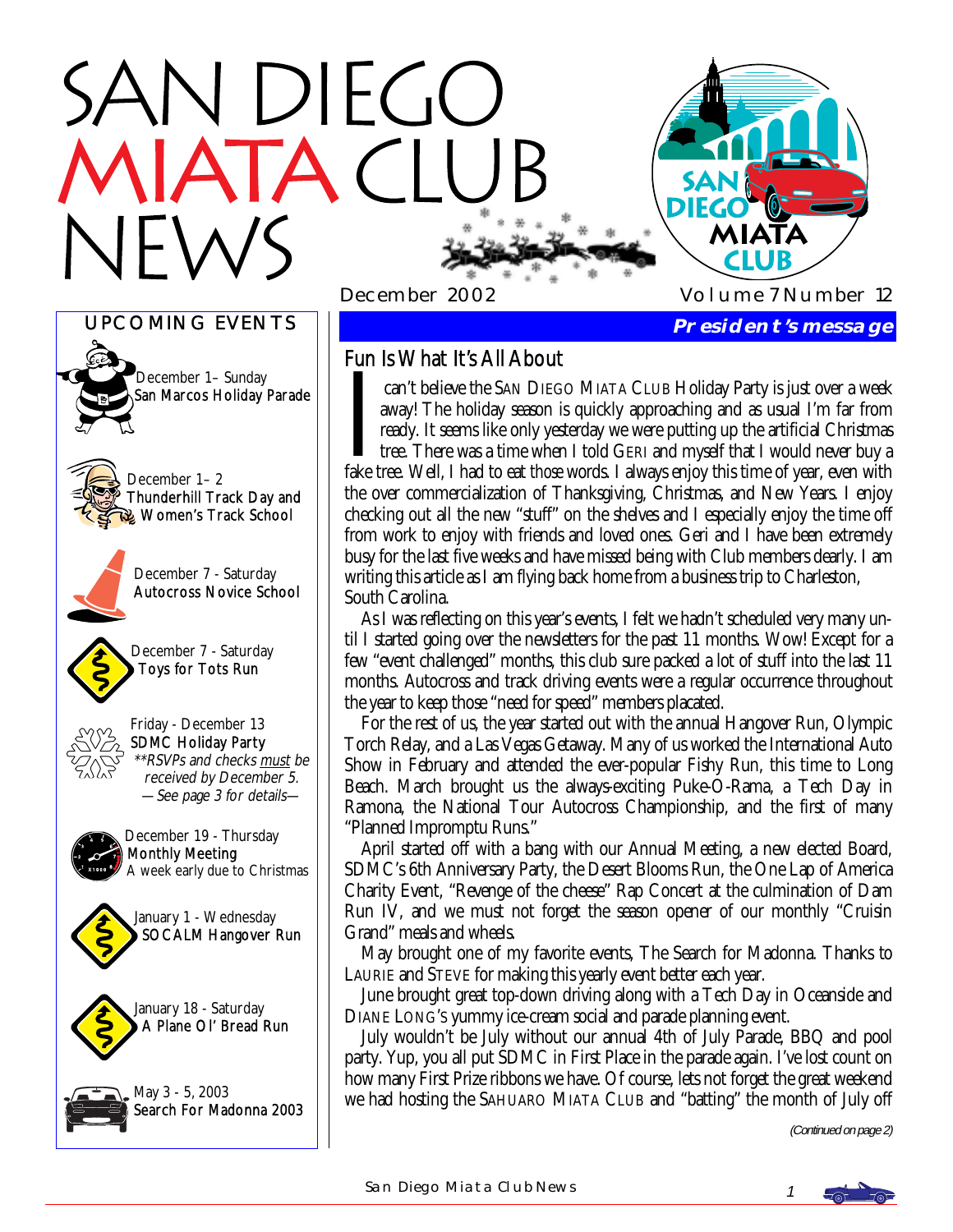# N DIEGO





December 1– 2 Thunderhill Track Day and Women's Track School



December 7 - Saturday Autocross Novice School



Toys for Tots Run



Friday - December 13 SDMC Holiday Party \*\*RSVPs and checks must be received by December 5. —See page 3 for details—



December 19 - Thursday Monthly Meeting A week early due to Christmas







# Fun Is What It's All About

can't believe the SAN DIEGO MIATA CLUB Holiday Party is just over a week away! The holiday season is quickly approaching and as usual I'm far from ready. It seems like only yesterday we were putting up the artificial Chris away! The holiday season is quickly approaching and as usual I'm far from ready. It seems like only yesterday we were putting up the artificial Christmas tree. There was a time when I told GERI and myself that I would never buy a fake tree. Well, I had to eat *those* words. I always enjoy this time of year, even with the over commercialization of Thanksgiving, Christmas, and New Years. I enjoy checking out all the new "stuff" on the shelves and I especially enjoy the time off from work to enjoy with friends and loved ones. Geri and I have been extremely busy for the last five weeks and have missed being with Club members dearly. I am writing this article as I am flying back home from a business trip to Charleston, South Carolina.

 As I was reflecting on this year's events, I felt we hadn't scheduled very many until I started going over the newsletters for the past 11 months. Wow! Except for a few "event challenged" months, this club sure packed a lot of stuff into the last 11 months. Autocross and track driving events were a regular occurrence throughout the year to keep those "need for speed" members placated.

 For the rest of us, the year started out with the annual Hangover Run, Olympic Torch Relay, and a Las Vegas Getaway. Many of us worked the International Auto Show in February and attended the ever-popular Fishy Run, this time to Long Beach. March brought us the always-exciting Puke-O-Rama, a Tech Day in Ramona, the National Tour Autocross Championship, and the first of many "Planned Impromptu Runs."

 April started off with a bang with our Annual Meeting, a new elected Board, SDMC's 6th Anniversary Party, the Desert Blooms Run, the One Lap of America Charity Event, "Revenge of the cheese" Rap Concert at the culmination of Dam Run IV, and we must not forget the season opener of our monthly "Cruisin Grand" meals and wheels.

 May brought one of my favorite events, The Search for Madonna. Thanks to LAURIE and STEVE for making this yearly event better each year.

 June brought great top-down driving along with a Tech Day in Oceanside and DIANE LONG'S yummy ice-cream social and parade planning event.

 July wouldn't be July without our annual 4th of July Parade, BBQ and pool party. Yup, you all put SDMC in First Place in the parade again. I've lost count on how many First Prize ribbons we have. Of course, lets not forget the great weekend we had hosting the SAHUARO MIATA CLUB and "batting" the month of July off

(Continued on page 2)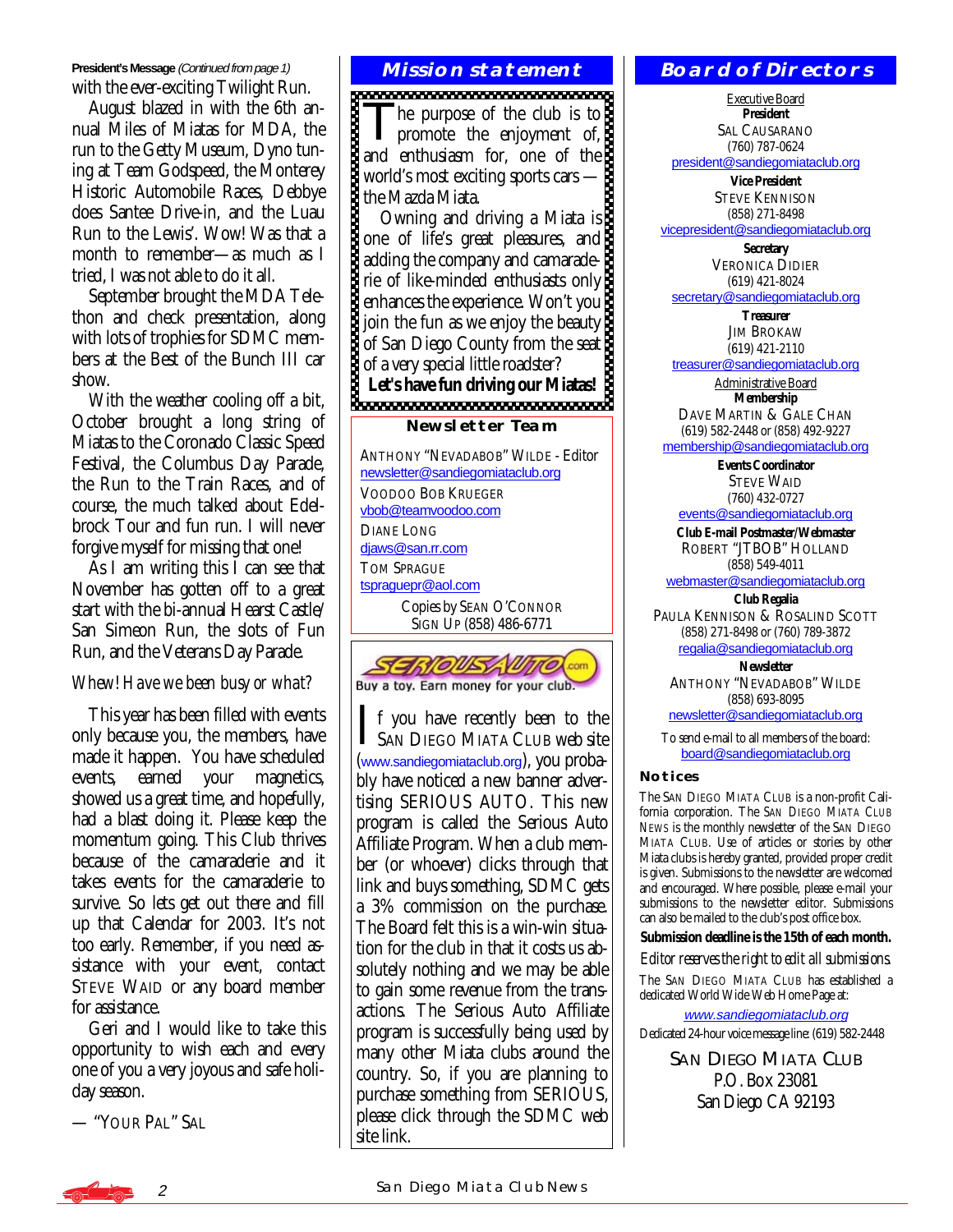**President's Message** (Continued from page 1) with the ever-exciting Twilight Run.

 August blazed in with the 6th annual Miles of Miatas for MDA, the run to the Getty Museum, Dyno tuning at Team Godspeed, the Monterey Historic Automobile Races, Debbye does Santee Drive-in, and the Luau Run to the Lewis'. Wow! Was that a month to remember—as much as I tried, I was not able to do it all.

 September brought the MDA Telethon and check presentation, along with lots of trophies for SDMC members at the Best of the Bunch III car show.

 With the weather cooling off a bit, October brought a long string of Miatas to the Coronado Classic Speed Festival, the Columbus Day Parade, the Run to the Train Races, and of course, the much talked about Edelbrock Tour and fun run. I will never forgive myself for missing that one!

 As I am writing this I can see that November has gotten off to a great start with the bi-annual Hearst Castle/ San Simeon Run, the slots of Fun Run, and the Veterans Day Parade.

#### *Whew! Have we been busy or what?*

 This year has been filled with events only because you, the members, have made it happen. You have scheduled events, earned your magnetics, showed us a great time, and hopefully, had a blast doing it. Please keep the momentum going. This Club thrives because of the camaraderie and it takes events for the camaraderie to survive. So lets get out there and fill up that Calendar for 2003. It's not too early. Remember, if you need assistance with your event, contact STEVE WAID or any board member for assistance.

 Geri and I would like to take this opportunity to wish each and every one of you a very joyous and safe holiday season.

— "YOUR PAL" SAL

### **Mission statement**

The purpose of the club is to<br>promote the enjoyment of, and enthusiasm for, one of the world's most exciting sports cars the Mazda Miata.

 Owning and driving a Miata is one of life's great pleasures, and adding the company and camaraderie of like-minded enthusiasts only enhances the experience. Won't you join the fun as we enjoy the beauty of San Diego County from the seat of a very special little roadster?

Let's have fun driving our Miatas!<br> **BECOMERGE DESCRIPTION** 

#### **Newsletter Team**

ANTHONY "NEVADABOB" WILDE - Editor [newsletter@sandiegomiataclub.org](mailto:newsletter@sandiegomiataclub.org) VOODOO BOB KRUEGER [vbob@teamvoodoo.com](mailto:vbob@teamvoodoo.com) DIANE LONG [djaws@san.rr.com](mailto:djaws@san.rr.com) TOM SPRAGUE [tspraguepr@aol.com](mailto:tspraguepr@aol.com) Copies by SEAN O'CONNOR SIGN UP (858) 486-6771



I f you have recently been to the **L** SAN DIEGO MIATA CLUB web site ([www.sandiegomiataclub.org](http://www.sandiegomiataclub.org)), you probably have noticed a new banner advertising SERIOUS AUTO. This new program is called the Serious Auto Affiliate Program. When a club member (or whoever) clicks through that link and buys something, SDMC gets a 3% commission on the purchase. The Board felt this is a win-win situation for the club in that it costs us absolutely nothing and we may be able to gain some revenue from the transactions. The Serious Auto Affiliate program is successfully being used by many other Miata clubs around the country. So, if you are planning to purchase something from SERIOUS, please click through the SDMC web site link.

#### **Board of Directors**

Executive Board **President**  SAL CAUSARANO (760) 787-0624

[president@sandiegomiataclub.org](mailto:president@sandiegomiataclub.org)

**Vice President**  STEVE KENNISON (858) 271-8498 [vicepresident@sandiegomiataclub.org](mailto:vicepresident@sandiegomiataclub.org)

> **Secretary**  VERONICA DIDIER (619) 421-8024

[secretary@sandiegomiataclub.org](mailto:secretary@sandiegomiataclub.org)

**Treasurer**  JIM BROKAW (619) 421-2110

[treasurer@sandiegomiataclub.org](mailto:treasurer@sandiegomiataclub.org)

Administrative Board **Membership** 

DAVE MARTIN & GALE CHAN (619) 582-2448 or (858) 492-9227

[membership@sandiegomiataclub.org](mailto:membership@sandiegomiataclub.org)

**Events Coordinator**  STEVE WAID (760) 432-0727

[events@sandiegomiataclub.org](mailto:events@sandiegomiataclub.org)

**Club E-mail Postmaster/Webmaster**  ROBERT "JTBOB" HOLLAND (858) 549-4011

[webmaster@sandiegomiataclub.org](mailto:webmaster@sandiegomiataclub.org) **Club Regalia** 

PAULA KENNISON & ROSALIND SCOTT (858) 271-8498 or (760) 789-3872 [regalia@sandiegomiataclub.org](mailto:regalia@sandiegomiataclub.org)

**Newsletter**  ANTHONY "NEVADABOB" WILDE (858) 693-8095 [newsletter@sandiegomiataclub.org](mailto:newsletter@sandiegomiataclub.org)

To send e-mail to all members of the board: [board@sandiegomiataclub.org](mailto:board@sandiegomiataclub.org)

#### **Notices**

The SAN DIEGO MIATA CLUB is a non-profit California corporation. The *SAN DIEGO MIATA CLUB NEWS* is the monthly newsletter of the SAN DIEGO MIATA CLUB. Use of articles or stories by other Miata clubs is hereby granted, provided proper credit is given. Submissions to the newsletter are welcomed and encouraged. Where possible, please e-mail your submissions to the newsletter editor. Submissions can also be mailed to the club's post office box.

**Submission deadline is the 15th of each month.** 

*Editor reserves the right to edit all submissions.*

The SAN DIEGO MIATA CLUB has established a dedicated World Wide Web Home Page at:

[www.sandiegomiataclub.org](http://www.sandiegomiataclub.org) Dedicated 24-hour voice message line: (619) 582-2448

> SAN DIEGO MIATA CLUB P.O. Box 23081 San Diego CA 92193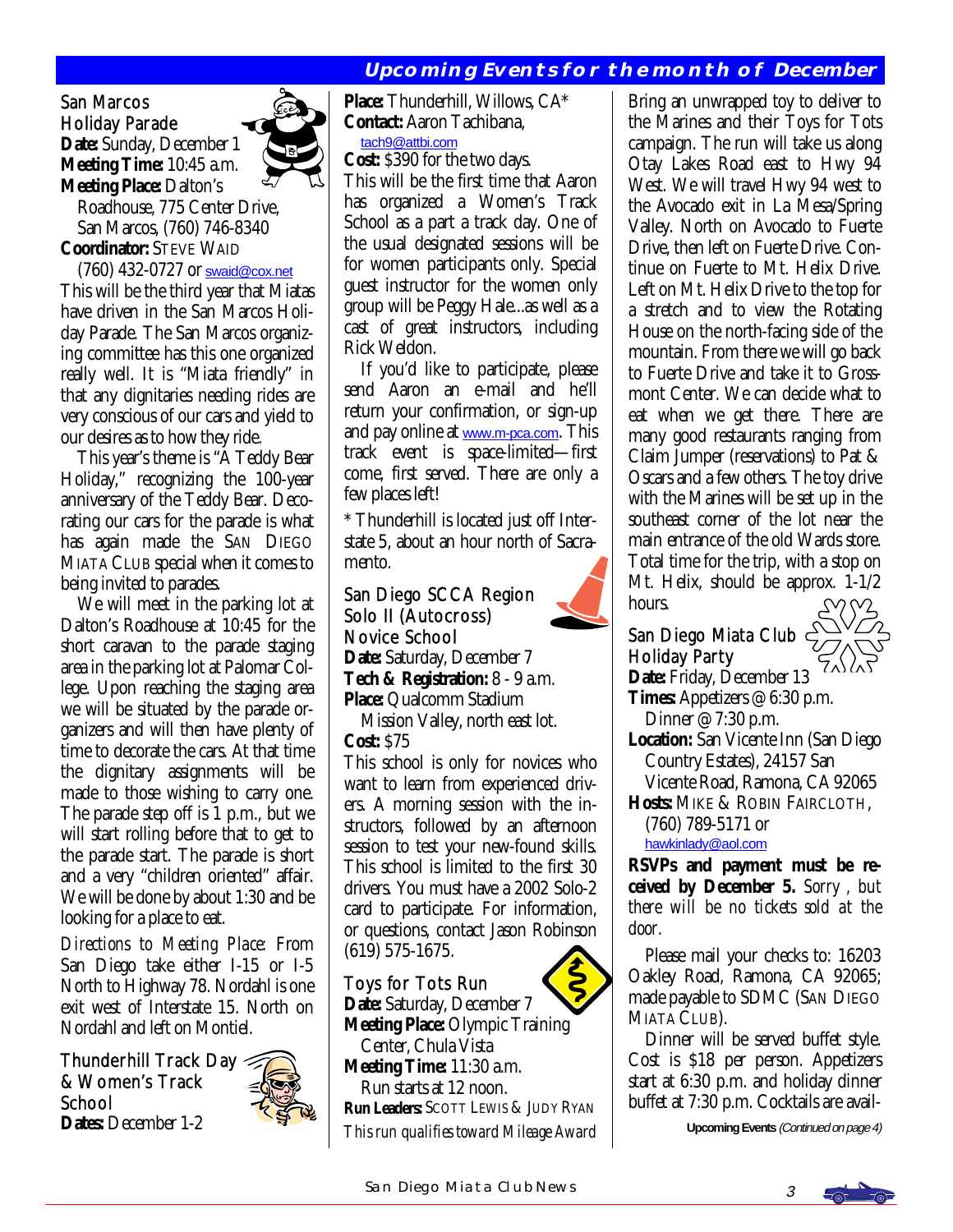# **Upcoming Events for the month of December**

#### San Marcos Holiday Parade **Date:** Sunday, December 1 **Meeting Time:** 10:45 a.m. **Meeting Place:** Dalton's



 Roadhouse, 775 Center Drive, San Marcos, (760) 746-8340 **Coordinator:** STEVE WAID

 (760) 432-0727 or [swaid@cox.net](mailto:swaid@cox.net) This will be the third year that Miatas have driven in the San Marcos Holiday Parade. The San Marcos organizing committee has this one organized really well. It is "Miata friendly" in that any dignitaries needing rides are very conscious of our cars and yield to our desires as to how they ride.

 This year's theme is "A Teddy Bear Holiday," recognizing the 100-year anniversary of the Teddy Bear. Decorating our cars for the parade is what has again made the SAN DIEGO MIATA CLUB special when it comes to being invited to parades.

 We will meet in the parking lot at Dalton's Roadhouse at 10:45 for the short caravan to the parade staging area in the parking lot at Palomar College. Upon reaching the staging area we will be situated by the parade organizers and will then have plenty of time to decorate the cars. At that time the dignitary assignments will be made to those wishing to carry one. The parade step off is 1 p.m., but we will start rolling before that to get to the parade start. The parade is short and a very "children oriented" affair. We will be done by about 1:30 and be looking for a place to eat.

*Directions to Meeting Place:* From San Diego take either I-15 or I-5 North to Highway 78. Nordahl is one exit west of Interstate 15. North on Nordahl and left on Montiel.

Thunderhill Track Day & Women's Track **School Dates:** December 1-2



**Place:** Thunderhill, Willows, CA\* **Contact:** Aaron Tachibana,

[tach9@attbi.com](mailto:tach9@attbi.com)

**Cost:** \$390 for the two days. This will be the first time that Aaron has organized a Women's Track School as a part a track day. One of the usual designated sessions will be for women participants only. Special guest instructor for the women only group will be Peggy Hale...as well as a cast of great instructors, including Rick Weldon.

 If you'd like to participate, please send Aaron an e-mail and he'll return your confirmation, or sign-up and pay online at [www.m-pca.com](http://www.m-pca.com). This track event is space-limited—first come, first served. There are only a few places left!

\* Thunderhill is located just off Interstate 5, about an hour north of Sacramento.

### San Diego SCCA Region Solo II (Autocross) Novice School

**Date:** Saturday, December 7 **Tech & Registration:** 8 - 9 a.m. **Place:** Qualcomm Stadium

 Mission Valley, north east lot. **Cost:** \$75

This school is only for novices who want to learn from experienced drivers. A morning session with the instructors, followed by an afternoon session to test your new-found skills. This school is limited to the first 30 drivers. You must have a 2002 Solo-2 card to participate. For information, or questions, contact Jason Robinson (619) 575-1675. ľ

## Toys for Tots Run

**Date:** Saturday, December 7 **Meeting Place:** Olympic Training Center, Chula Vista **Meeting Time:** 11:30 a.m. Run starts at 12 noon. **Run Leaders:** SCOTT LEWIS & JUDY RYAN *This run qualifies toward Mileage Award*  Bring an unwrapped toy to deliver to the Marines and their Toys for Tots campaign. The run will take us along Otay Lakes Road east to Hwy 94 West. We will travel Hwy 94 west to the Avocado exit in La Mesa/Spring Valley. North on Avocado to Fuerte Drive, then left on Fuerte Drive. Continue on Fuerte to Mt. Helix Drive. Left on Mt. Helix Drive to the top for a stretch and to view the Rotating House on the north-facing side of the mountain. From there we will go back to Fuerte Drive and take it to Grossmont Center. We can decide what to eat when we get there. There are many good restaurants ranging from Claim Jumper (reservations) to Pat & Oscars and a few others. The toy drive with the Marines will be set up in the southeast corner of the lot near the main entrance of the old Wards store. Total time for the trip, with a stop on Mt. Helix, should be approx. 1-1/2 hours.

# San Diego Miata Club Holiday Party

**Date:** Friday, December 13 **Times:** Appetizers @ 6:30 p.m. Dinner @ 7:30 p.m.

- **Location:** San Vicente Inn (San Diego Country Estates), 24157 San Vicente Road, Ramona, CA 92065
- **Hosts:** MIKE & ROBIN FAIRCLOTH, (760) 789-5171 or

[hawkinlady@aol.com](mailto:hawkinlady@aol.com)

**RSVPs and payment must be received by December 5.** *Sorry , but there will be no tickets sold at the door.*

 Please mail your checks to: 16203 Oakley Road, Ramona, CA 92065; made payable to SDMC (SAN DIEGO MIATA CLUB).

 Dinner will be served buffet style. Cost is \$18 per person. Appetizers start at 6:30 p.m. and holiday dinner buffet at 7:30 p.m. Cocktails are avail-

**Upcoming Events** (Continued on page 4)

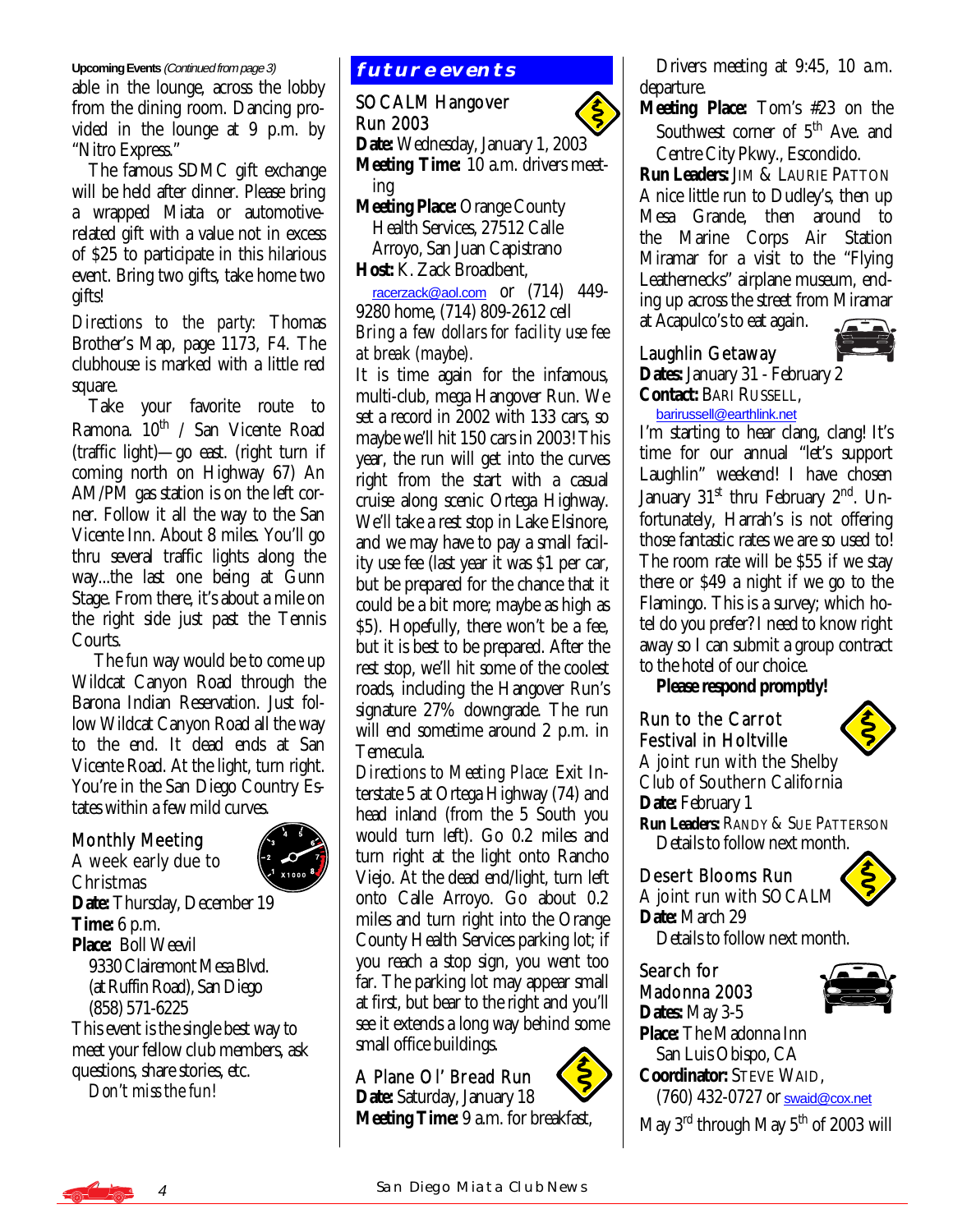#### **Upcoming Events (Continued from page 3) future EVENTS**

able in the lounge, across the lobby from the dining room. Dancing provided in the lounge at 9 p.m. by "Nitro Express."

 The famous SDMC gift exchange will be held after dinner. Please bring a wrapped Miata or automotiverelated gift with a value not in excess of \$25 to participate in this hilarious event. Bring two gifts, take home two gifts!

*Directions to the party:* Thomas Brother's Map, page 1173, F4. The clubhouse is marked with a little red square.

 Take your favorite route to Ramona. 10<sup>th</sup> / San Vicente Road (traffic light)—go east. (right turn if coming north on Highway 67) An AM/PM gas station is on the left corner. Follow it all the way to the San Vicente Inn. About 8 miles. You'll go thru several traffic lights along the way...the last one being at Gunn Stage. From there, it's about a mile on the right side just past the Tennis Courts.

 The *fun* way would be to come up Wildcat Canyon Road through the Barona Indian Reservation. Just follow Wildcat Canyon Road all the way to the end. It dead ends at San Vicente Road. At the light, turn right. You're in the San Diego Country Estates within a few mild curves.

### Monthly Meeting A week early due to



Christmas **Date:** Thursday, December 19 **Time:** 6 p.m. **Place:** Boll Weevil 9330 Clairemont Mesa Blvd. (at Ruffin Road), San Diego (858) 571-6225 This event is the single best way to meet your fellow club members, ask

questions, share stories, etc. *Don't miss the fun!*

#### SOCALM Hangover Run 2003

**Date:** Wednesday, January 1, 2003 **Meeting Time:** 10 a.m. drivers meet ing

**Meeting Place:** Orange County Health Services, 27512 Calle Arroyo, San Juan Capistrano **Host:** K. Zack Broadbent,

 [racerzack@aol.com](mailto:racerzack@aol.com) or (714) 449- 9280 home, (714) 809-2612 cell *Bring a few dollars for facility use fee at break (maybe).* 

It is time again for the infamous, multi-club, mega Hangover Run. We set a record in 2002 with 133 cars, so maybe we'll hit 150 cars in 2003! This year, the run will get into the curves right from the start with a casual cruise along scenic Ortega Highway. We'll take a rest stop in Lake Elsinore, and we may have to pay a small facility use fee (last year it was \$1 per car, but be prepared for the chance that it could be a bit more; maybe as high as \$5). Hopefully, there won't be a fee, but it is best to be prepared. After the rest stop, we'll hit some of the coolest roads, including the Hangover Run's signature 27% downgrade. The run will end sometime around 2 p.m. in Temecula.

*Directions to Meeting Place:* Exit Interstate 5 at Ortega Highway (74) and head inland (from the 5 South you would turn left). Go 0.2 miles and turn right at the light onto Rancho Viejo. At the dead end/light, turn left onto Calle Arroyo. Go about 0.2 miles and turn right into the Orange County Health Services parking lot; if you reach a stop sign, you went too far. The parking lot may appear small at first, but bear to the right and you'll see it extends a long way behind some small office buildings.

A Plane Ol' Bread Run **Date:** Saturday, January 18 **Meeting Time:** 9 a.m. for breakfast,

 Drivers meeting at 9:45, 10 a.m. departure.

**Meeting Place:** Tom's #23 on the Southwest corner of  $5<sup>th</sup>$  Ave. and Centre City Pkwy., Escondido.

**Run Leaders:** JIM & LAURIE PATTON A nice little run to Dudley's, then up Mesa Grande, then around to the Marine Corps Air Station Miramar for a visit to the "Flying Leathernecks" airplane museum, ending up across the street from Miramar

at Acapulco's to eat again.

#### Laughlin Getaway



**Dates:** January 31 - February 2 **Contact:** BARI RUSSELL,

#### [barirussell@earthlink.net](mailto:barirussell@earthlink.net)

I'm starting to hear clang, clang! It's time for our annual "let's support Laughlin" weekend! I have chosen January  $31<sup>st</sup>$  thru February  $2<sup>nd</sup>$ . Unfortunately, Harrah's is not offering those fantastic rates we are so used to! The room rate will be \$55 if we stay there or \$49 a night if we go to the Flamingo. This is a survey; which hotel do you prefer? I need to know right away so I can submit a group contract to the hotel of our choice.

 **Please respond promptly!** 

# Run to the Carrot Festival in Holtville



A joint run with the Shelby Club of Southern California Date: February 1 **Run Leaders:** RANDY & SUE PATTERSON Details to follow next month.

### Desert Blooms Run

A joint run with SOCALM **Date:** March 29

Details to follow next month.

#### Search for Madonna 2003 **Dates:** May 3-5



**Place:** The Madonna Inn San Luis Obispo, CA **Coordinator:** STEVE WAID, (760) 432-0727 or [swaid@cox.net](mailto:swaid@cox.net)

May  $3<sup>rd</sup>$  through May  $5<sup>th</sup>$  of 2003 will

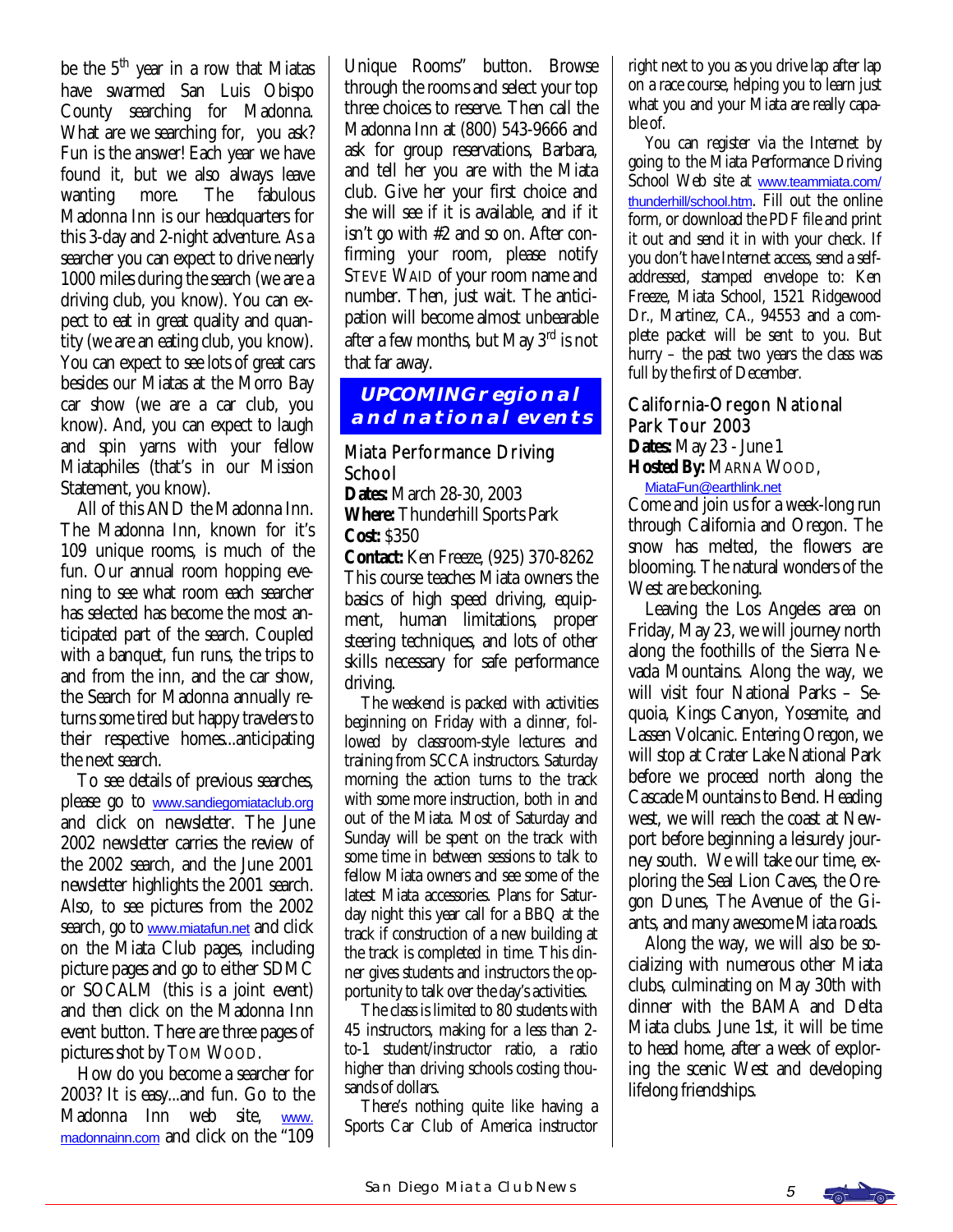be the 5<sup>th</sup> year in a row that Miatas have swarmed San Luis Obispo County searching for Madonna. What are we searching for, you ask? Fun is the answer! Each year we have found it, but we also always leave wanting more. The fabulous Madonna Inn is our headquarters for this 3-day and 2-night adventure. As a searcher you can expect to drive nearly 1000 miles during the search (we are a driving club, you know). You can expect to eat in great quality and quantity (we are an eating club, you know). You can expect to see lots of great cars besides our Miatas at the Morro Bay car show (we are a car club, you know). And, you can expect to laugh and spin yarns with your fellow Miataphiles (that's in our Mission Statement, you know).

 All of this AND the Madonna Inn. The Madonna Inn, known for it's 109 unique rooms, is much of the fun. Our annual room hopping evening to see what room each searcher has selected has become the most anticipated part of the search. Coupled with a banquet, fun runs, the trips to and from the inn, and the car show, the Search for Madonna annually returns some tired but happy travelers to their respective homes...anticipating the next search.

 To see details of previous searches, please go to [www.sandiegomiataclub.org](http://www.sandiegomiataclub.org) and click on newsletter. The June 2002 newsletter carries the review of the 2002 search, and the June 2001 newsletter highlights the 2001 search. Also, to see pictures from the 2002 search, go to [www.miatafun.net](http://www.miatafun.net) and click on the Miata Club pages, including picture pages and go to either SDMC or SOCALM (this *is* a joint event) and then click on the Madonna Inn event button. There are three pages of pictures shot by TOM WOOD.

 How do you become a searcher for 2003? It is easy...and fun. Go to the Madonna Inn web site, [www.](http://www.madonnainn.com) [madonnainn.com](http://www.madonnainn.com) and click on the "109

Unique Rooms" button. Browse through the rooms and select your top three choices to reserve. Then call the Madonna Inn at (800) 543-9666 and ask for group reservations, Barbara, and tell her you are with the Miata club. Give her your first choice and she will see if it is available, and if it isn't go with #2 and so on. After confirming your room, please notify STEVE WAID of your room name and number. Then, just wait. The anticipation will become almost unbearable after a few months, but May  $3<sup>rd</sup>$  is not that far away.

# **UPCOMING regional and national events**

#### Miata Performance Driving **School**

**Dates:** March 28-30, 2003 **Where:** Thunderhill Sports Park **Cost:** \$350

**Contact:** Ken Freeze, (925) 370-8262 This course teaches Miata owners the basics of high speed driving, equipment, human limitations, proper steering techniques, and lots of other skills necessary for safe performance driving.

 The weekend is packed with activities beginning on Friday with a dinner, followed by classroom-style lectures and training from SCCA instructors. Saturday morning the action turns to the track with some more instruction, both in and out of the Miata. Most of Saturday and Sunday will be spent on the track with some time in between sessions to talk to fellow Miata owners and see some of the latest Miata accessories. Plans for Saturday night this year call for a BBQ at the track if construction of a new building at the track is completed in time. This dinner gives students and instructors the opportunity to talk over the day's activities.

 The class is limited to 80 students with 45 instructors, making for a less than 2 to-1 student/instructor ratio, a ratio higher than driving schools costing thousands of dollars.

 There's nothing quite like having a Sports Car Club of America instructor right next to you as you drive lap after lap on a race course, helping you to learn just what you and your Miata are really capable of.

 You can register via the Internet by going to the Miata Performance Driving School Web site at [www.teammiata.com/](http://www.teammiata.com/thunderhill/school.htm) [thunderhill/school.htm](http://www.teammiata.com/thunderhill/school.htm). Fill out the online form, or download the PDF file and print it out and send it in with your check. If you don't have Internet access, send a selfaddressed, stamped envelope to: Ken Freeze, Miata School, 1521 Ridgewood Dr., Martinez, CA., 94553 and a complete packet will be sent to you. But hurry – the past two years the class was full by the first of December.

# California-Oregon National Park Tour 2003

**Dates:** May 23 - June 1 **Hosted By:** MARNA WOOD,

[MiataFun@earthlink.net](mailto:MiataFun@earthlink.net) Come and join us for a week-long run through California and Oregon. The snow has melted, the flowers are blooming. The natural wonders of the West are beckoning.

 Leaving the Los Angeles area on Friday, May 23, we will journey north along the foothills of the Sierra Nevada Mountains. Along the way, we will visit four National Parks – Sequoia, Kings Canyon, Yosemite, and Lassen Volcanic. Entering Oregon, we will stop at Crater Lake National Park before we proceed north along the Cascade Mountains to Bend. Heading west, we will reach the coast at Newport before beginning a leisurely journey south. We will take our time, exploring the Seal Lion Caves, the Oregon Dunes, The Avenue of the Giants, and many awesome Miata roads.

 Along the way, we will also be socializing with numerous other Miata clubs, culminating on May 30th with dinner with the BAMA and Delta Miata clubs. June 1st, it will be time to head home, after a week of exploring the scenic West and developing lifelong friendships.

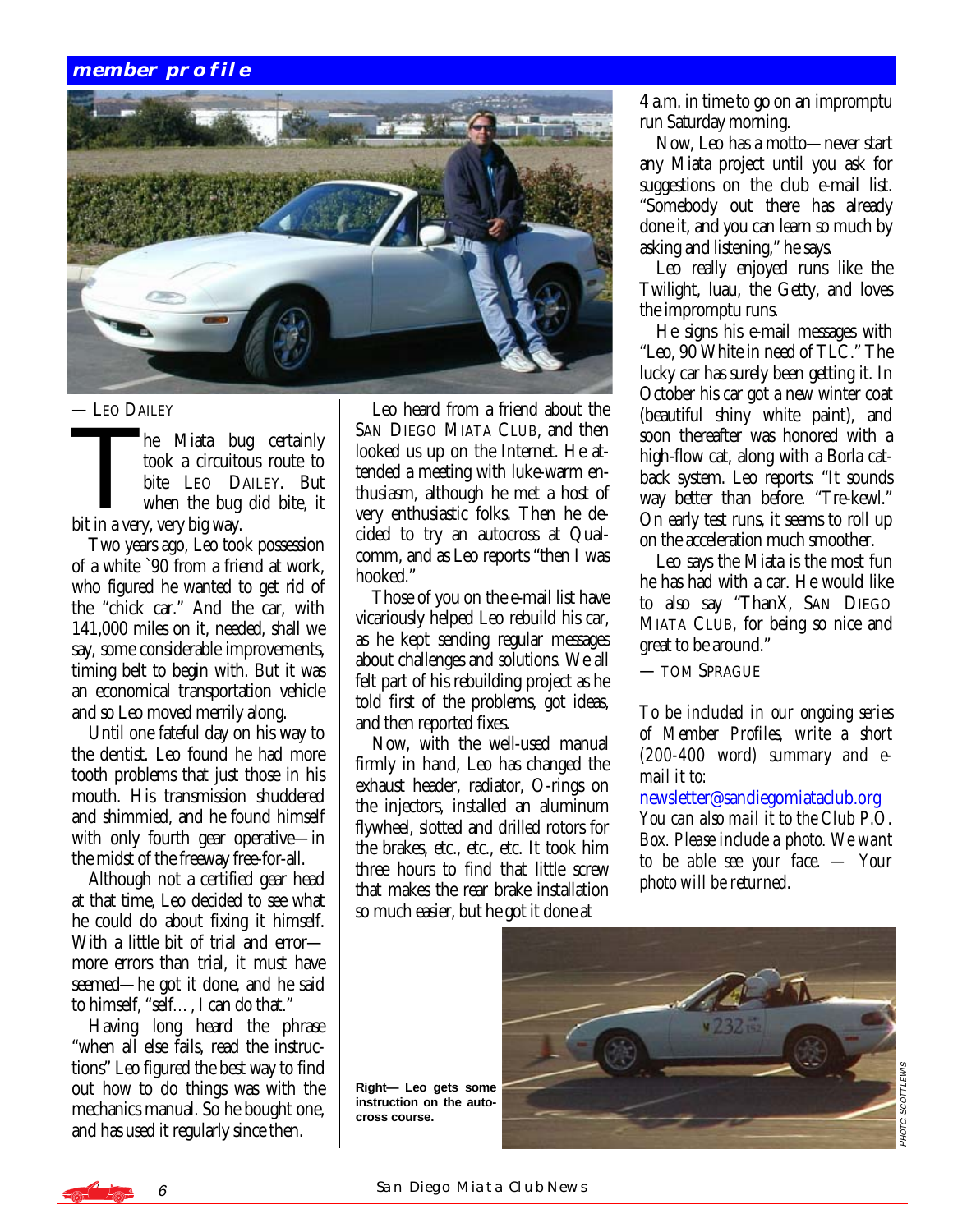# **member profile**



#### — LEO DAILEY

- LEO DAILEY<br>
he Miata bug certainly<br>
took a circuitous route to<br>
bite LEO DAILEY. But<br>
when the bug did bite it took a circuitous route to bite LEO DAILEY. But when the bug did bite, it bit in a very, very big way.

 Two years ago, Leo took possession of a white `90 from a friend at work, who figured he wanted to get rid of the "chick car." And the car, with 141,000 miles on it, needed, shall we say, some considerable improvements, timing belt to begin with. But it was an economical transportation vehicle and so Leo moved merrily along.

 Until one fateful day on his way to the dentist. Leo found he had more tooth problems that just those in his mouth. His transmission shuddered and shimmied, and he found himself with only fourth gear operative—in the midst of the freeway free-for-all.

 Although not a certified gear head at that time, Leo decided to see what he could do about fixing it himself. With a little bit of trial and errormore errors than trial, it must have seemed—he got it done, and he said to himself, "self…, I can do that."

 Having long heard the phrase "when all else fails, read the instructions" Leo figured the best way to find out how to do things was with the mechanics manual. So he bought one, and has used it regularly since then.

 Leo heard from a friend about the SAN DIEGO MIATA CLUB, and then looked us up on the Internet. He attended a meeting with luke-warm enthusiasm, although he met a host of very enthusiastic folks. Then he decided to try an autocross at Qualcomm, and as Leo reports "then I was hooked."

 Those of you on the e-mail list have vicariously helped Leo rebuild his car, as he kept sending regular messages about challenges and solutions. We all felt part of his rebuilding project as he told first of the problems, got ideas, and then reported fixes.

 Now, with the well-used manual firmly in hand, Leo has changed the exhaust header, radiator, O-rings on the injectors, installed an aluminum flywheel, slotted and drilled rotors for the brakes, etc., etc., etc. It took him three hours to find that little screw that makes the rear brake installation so much easier, but he got it done at

4 a.m. in time to go on an impromptu run Saturday morning.

 Now, Leo has a motto—never start any Miata project until you ask for suggestions on the club e-mail list. "Somebody out there has already done it, and you can learn so much by asking and listening," he says.

 Leo really enjoyed runs like the Twilight, luau, the Getty, and loves the impromptu runs.

 He signs his e-mail messages with "Leo, 90 White in need of TLC." The lucky car has surely been getting it. In October his car got a new winter coat (beautiful shiny white paint), and soon thereafter was honored with a high-flow cat, along with a Borla catback system. Leo reports: "It sounds way better than before. "Tre-kewl." On early test runs, it seems to roll up on the acceleration much smoother.

 Leo says the Miata is the most fun he has had with a car. He would like to also say "ThanX, SAN DIEGO MIATA CLUB, for being so nice and great to be around."

— TOM SPRAGUE

*To be included in our ongoing series of Member Profiles, write a short (200-400 word) summary and email it to:* 

[newsletter@sandiegomiataclub.org](mailto:newsletter@sandiegomiataclub.org)

*You can also mail it to the Club P.O. Box. Please include a photo. We want to be able see your face. — Your photo will be returned.*





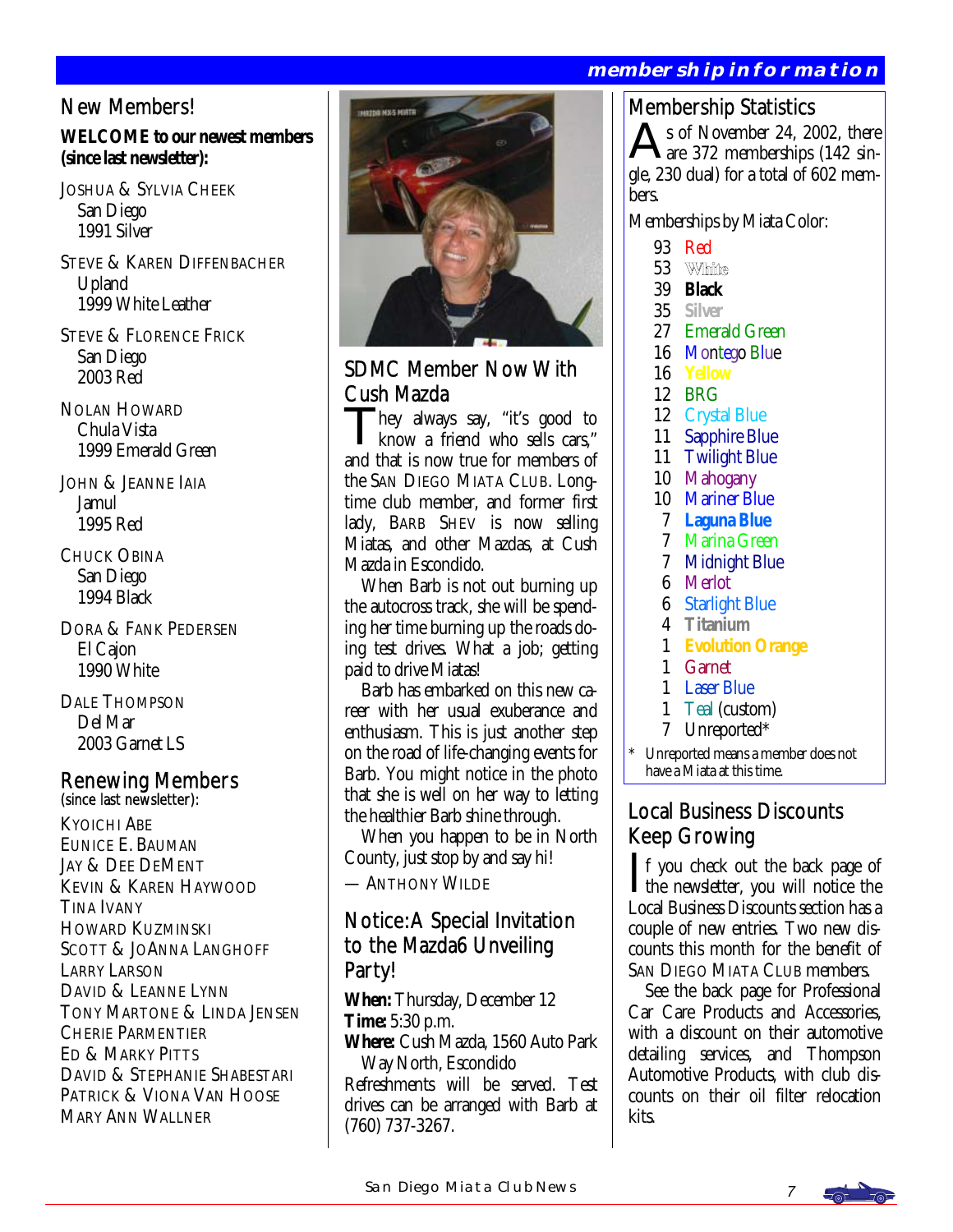# **membership information**

# New Members!

#### **WELCOME to our newest members (since last newsletter):**

JOSHUA & SYLVIA CHEEK San Diego 1991 Silver

STEVE & KAREN DIFFENBACHER Upland 1999 White Leather

STEVE & FLORENCE FRICK San Diego 2003 Red

NOLAN HOWARD Chula Vista 1999 Emerald Green

JOHN & JEANNE IAIA Jamul 1995 Red

CHUCK OBINA San Diego 1994 Black

DORA & FANK PEDERSEN El Cajon 1990 White

DALE THOMPSON Del Mar 2003 Garnet LS

# Renewing Members<br>(since last newsletter):

KYOICHI ABE EUNICE E. BAUMAN JAY & DEE DEMENT KEVIN & KAREN HAYWOOD TINA IVANY HOWARD KUZMINSKI SCOTT & JOANNA LANGHOFF LARRY LARSON DAVID & LEANNE LYNN TONY MARTONE & LINDA JENSEN CHERIE PARMENTIER ED & MARKY PITTS DAVID & STEPHANIE SHABESTARI PATRICK & VIONA VAN HOOSE MARY ANN WALLNER



# SDMC Member Now With Cush Mazda

They always say, "it's good to know a friend who sells cars," and that is now true for members of the SAN DIEGO MIATA CLUB. Longtime club member, and former first lady, BARB SHEV is now selling Miatas, and other Mazdas, at Cush Mazda in Escondido.

 When Barb is not out burning up the autocross track, she will be spending her time burning up the roads doing test drives. What a job; getting paid to drive Miatas!

 Barb has embarked on this new career with her usual exuberance and enthusiasm. This is just another step on the road of life-changing events for Barb. You might notice in the photo that she is well on her way to letting the healthier Barb shine through.

 When you happen to be in North County, just stop by and say hi!

— ANTHONY WILDE

# Notice: A Special Invitation to the Mazda6 Unveiling Party!

**When:** Thursday, December 12 **Time:** 5:30 p.m.

**Where:** Cush Mazda, 1560 Auto Park Way North, Escondido

Refreshments will be served. Test drives can be arranged with Barb at (760) 737-3267.

# Membership Statistics

s of November 24, 2002, there are 372 memberships (142 single, 230 dual) for a total of 602 members.

Memberships by Miata Color:

- 93 Red
- 53 White
- 39 **Black**
- 35 **Silver**
- 27 Emerald Green
- 16 Montego Blue
- 16 **Yellow**
- 12 BRG
- 12 Crystal Blue
- 11 Sapphire Blue
- 11 Twilight Blue
- 10 Mahogany
- 10 Mariner Blue
- 7 **Laguna Blue**
- 7 Marina Green
- 7 Midnight Blue
- 6 Merlot
- **Starlight Blue**
- 4 **Titanium**
- 1 **Evolution Orange**
- 1 Garnet
- 1 Laser Blue
- 1 Teal (custom)
- 7 Unreported\*
- Unreported means a member does not have a Miata at this time.

# Local Business Discounts Keep Growing

If you check out the back page of<br>the newsletter, you will notice the<br>Local Buriners Discounts estion has a Local Business Discounts section has a couple of new entries. Two new discounts this month for the benefit of SAN DIEGO MIATA CLUB members.

 See the back page for Professional Car Care Products and Accessories, with a discount on their automotive detailing services, and Thompson Automotive Products, with club discounts on their oil filter relocation kits.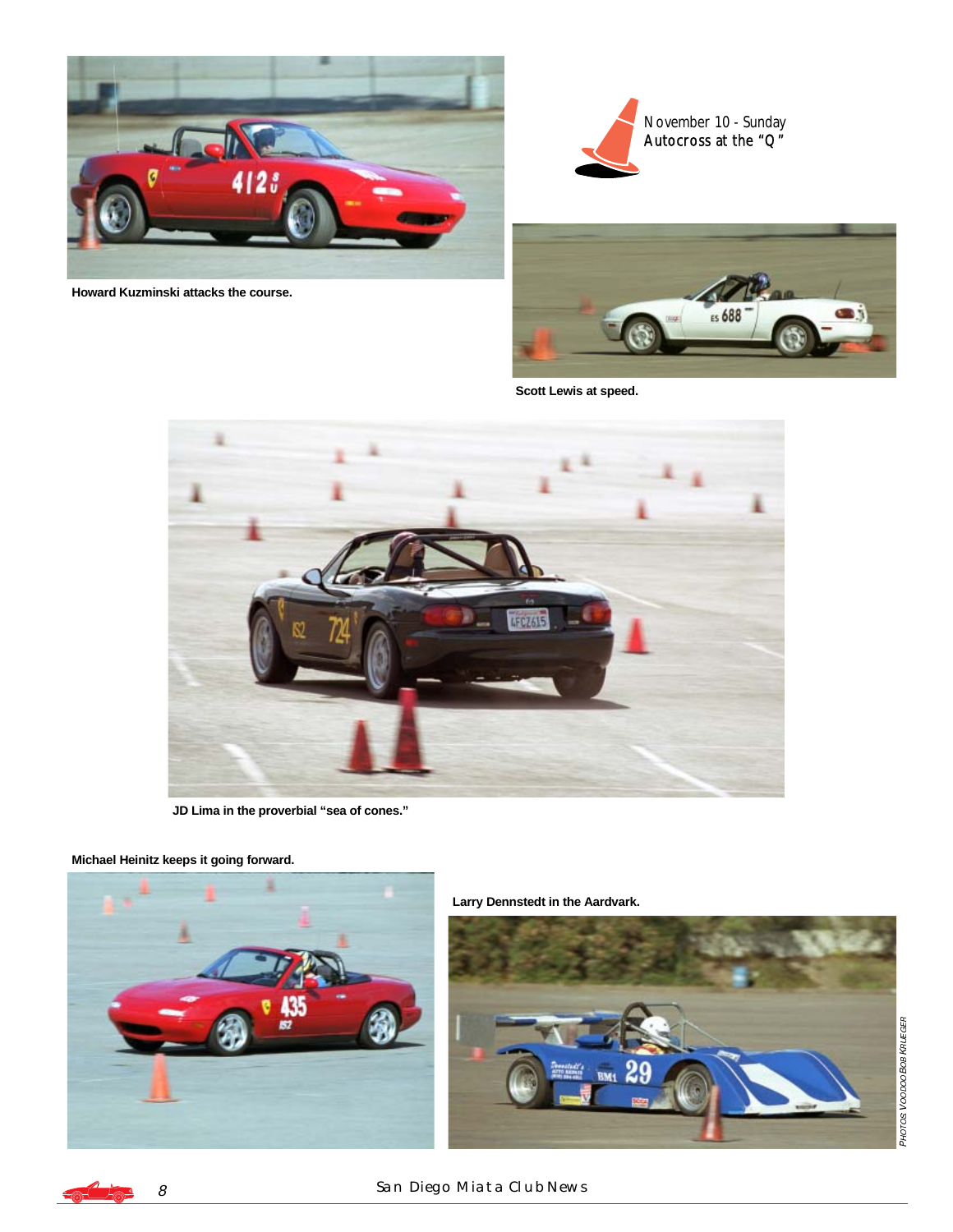

**Howard Kuzminski attacks the course.** 





**Scott Lewis at speed.** 



**JD Lima in the proverbial "sea of cones."** 

**Michael Heinitz keeps it going forward.** 



**Larry Dennstedt in the Aardvark.** 



#### 8 SAN DIEGO MIATA CLUB NEWS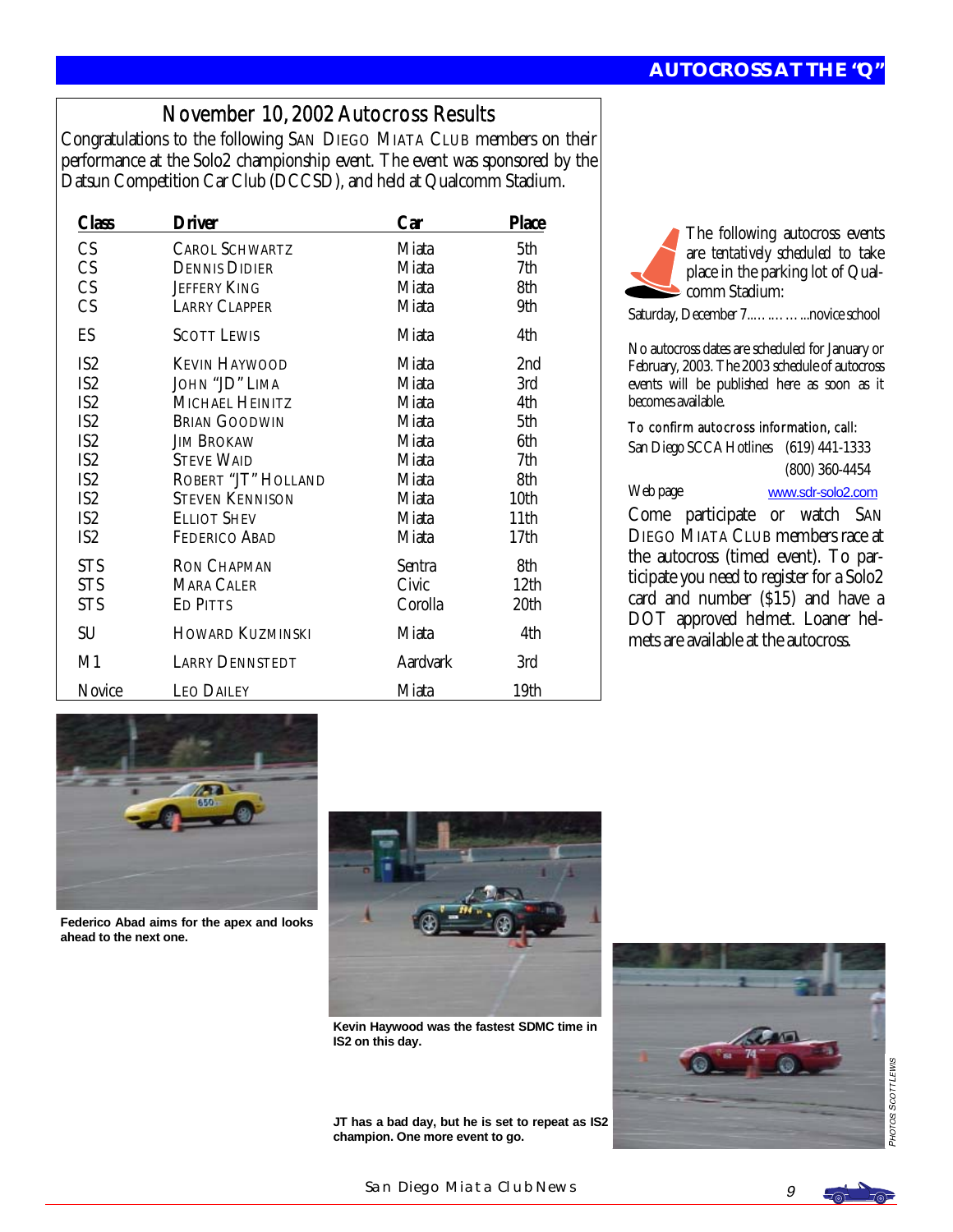# November 10, 2002 Autocross Results

Congratulations to the following SAN DIEGO MIATA CLUB members on their performance at the Solo2 championship event. The event was sponsored by the Datsun Competition Car Club (DCCSD), and held at Qualcomm Stadium.

| Class           | <b>Driver</b>           | <b>Car</b>      | <b>Place</b>     |
|-----------------|-------------------------|-----------------|------------------|
| CS              | <b>CAROL SCHWARTZ</b>   | Miata           | 5th              |
| CS              | <b>DENNIS DIDIER</b>    | Miata           | 7th              |
| CS              | <b>JEFFERY KING</b>     | Miata           | 8th              |
| CS              | <b>LARRY CLAPPER</b>    | Miata           | 9th              |
| ES              | <b>SCOTT LEWIS</b>      | Miata           | 4th              |
| IS <sub>2</sub> | <b>KEVIN HAYWOOD</b>    | Miata           | 2nd              |
| IS <sub>2</sub> | JOHN "JD" LIMA          | Miata           | 3rd              |
| IS <sub>2</sub> | MICHAEL HEINITZ         | Miata           | 4th              |
| IS <sub>2</sub> | <b>BRIAN GOODWIN</b>    | Miata           | 5th              |
| IS <sub>2</sub> | Jim Brokaw              | Miata           | 6th              |
| IS <sub>2</sub> | <b>STEVE WAID</b>       | Miata           | 7th              |
| IS <sub>2</sub> | ROBERT "JT" HOLLAND     | Miata           | 8th              |
| IS <sub>2</sub> | <b>STEVEN KENNISON</b>  | Miata           | 10th             |
| IS <sub>2</sub> | <b>ELLIOT SHEV</b>      | Miata           | 11 <sub>th</sub> |
| IS <sub>2</sub> | <b>FEDERICO ABAD</b>    | Miata           | 17 <sub>th</sub> |
| <b>STS</b>      | <b>RON CHAPMAN</b>      | Sentra          | 8th              |
| <b>STS</b>      | MARA CALER              | Civic           | 12 <sub>th</sub> |
| <b>STS</b>      | <b>ED PITTS</b>         | Corolla         | 20th             |
| SU              | <b>HOWARD KUZMINSKI</b> | Miata           | 4th              |
| M1              | <b>LARRY DENNSTEDT</b>  | <b>Aardvark</b> | 3rd              |
| Novice          | <b>LEO DAILEY</b>       | Miata           | 19th             |

The following autocross events are *tentatively scheduled* to take place in the parking lot of Qualcomm Stadium:

Saturday, December 7..….……...novice school

No autocross dates are scheduled for January or February, 2003. The 2003 schedule of autocross events will be published here as soon as it becomes available.

#### To confirm autocross information, call:

San Diego SCCA Hotlines (619) 441-1333 (800) 360-4454

Web page [www.sdr-solo2.com](http://www.sdr-solo2.com)

Come participate or watch SAN DIEGO MIATA CLUB members race at the autocross (timed event). To participate you need to register for a Solo2 card and number (\$15) and have a DOT approved helmet. Loaner helmets are available at the autocross.



**Federico Abad aims for the apex and looks ahead to the next one.** 



**Kevin Haywood was the fastest SDMC time in IS2 on this day.** 

**JT has a bad day, but he is set to repeat as IS2 champion. One more event to go.** 



SAN DIEGO MIATA CLUB NEWS  $g$ 



PHOT

08 SCOTT LEWIS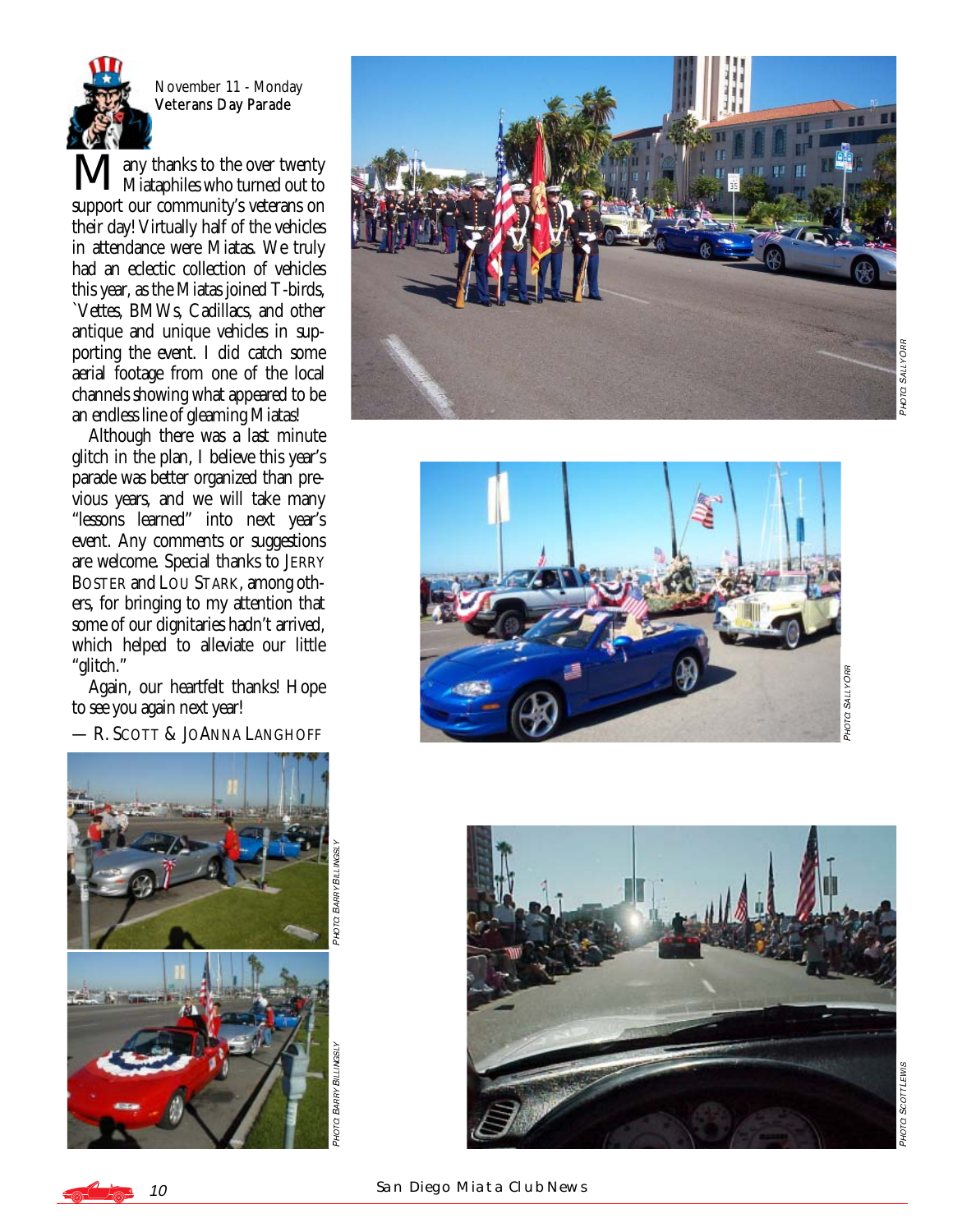

November 11 - Monday<br>Veterans Day Parade

**Many thanks to the over twenty**<br> **M**any thanks who turned out to support our community's veterans on their day! Virtually half of the vehicles in attendance were Miatas. We truly had an eclectic collection of vehicles this year, as the Miatas joined T-birds, `Vettes, BMWs, Cadillacs, and other antique and unique vehicles in supporting the event. I did catch some aerial footage from one of the local channels showing what appeared to be an endless line of gleaming Miatas!

 Although there was a last minute glitch in the plan, I believe this year's parade was better organized than previous years, and we will take many "lessons learned" into next year's event. Any comments or suggestions are welcome. Special thanks to JERRY BOSTER and LOU STARK, among others, for bringing to my attention that some of our dignitaries hadn't arrived, which helped to alleviate our little "glitch."

 Again, our heartfelt thanks! Hope to see you again next year!

— R. SCOTT & JO ANNA LANGHOFF







**C SALLY OFF** 

PHOTO SALLY ORF **C SALLY ORR** 



10SAN DIEGO MIATA CLUB NEWS